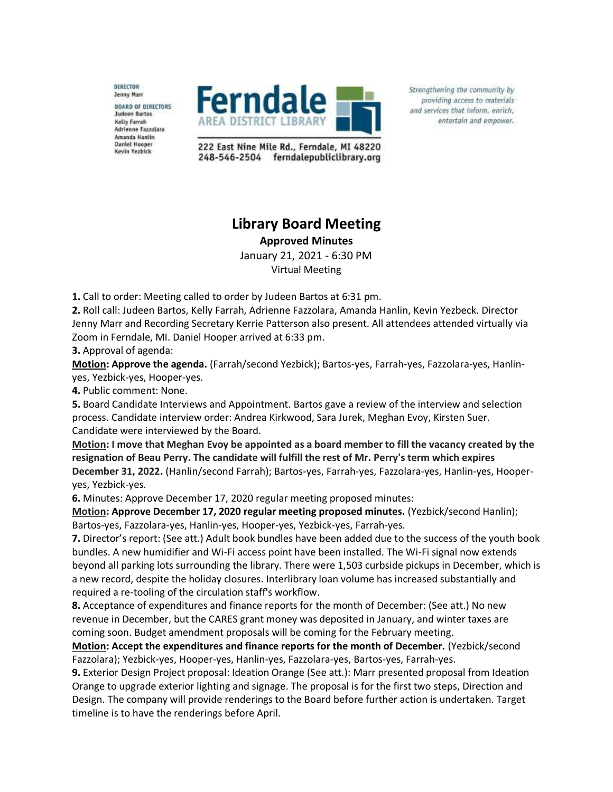DIRECTOR Jenny Marr **BOARD OF DIRECTORS Judeen Bartos** Kelly Farrah Adrienne Fazzolara Amanda Hantin **Daniel Hooper** Kevin Yezbick



Strengthening the community by providing access to materials and services that inform, enrich, entertain and empower.

222 East Nine Mile Rd., Ferndale, MI 48220 248-546-2504 ferndalepubliclibrary.org

## **Library Board Meeting**

**Approved Minutes**

January 21, 2021 - 6:30 PM Virtual Meeting

**1.** Call to order: Meeting called to order by Judeen Bartos at 6:31 pm.

**2.** Roll call: Judeen Bartos, Kelly Farrah, Adrienne Fazzolara, Amanda Hanlin, Kevin Yezbeck. Director Jenny Marr and Recording Secretary Kerrie Patterson also present. All attendees attended virtually via Zoom in Ferndale, MI. Daniel Hooper arrived at 6:33 pm.

**3.** Approval of agenda:

**Motion: Approve the agenda.** (Farrah/second Yezbick); Bartos-yes, Farrah-yes, Fazzolara-yes, Hanlinyes, Yezbick-yes, Hooper-yes.

**4.** Public comment: None.

**5.** Board Candidate Interviews and Appointment. Bartos gave a review of the interview and selection process. Candidate interview order: Andrea Kirkwood, Sara Jurek, Meghan Evoy, Kirsten Suer. Candidate were interviewed by the Board.

**Motion: I move that Meghan Evoy be appointed as a board member to fill the vacancy created by the resignation of Beau Perry. The candidate will fulfill the rest of Mr. Perry's term which expires December 31, 2022.** (Hanlin/second Farrah); Bartos-yes, Farrah-yes, Fazzolara-yes, Hanlin-yes, Hooperyes, Yezbick-yes.

**6.** Minutes: Approve December 17, 2020 regular meeting proposed minutes:

**Motion: Approve December 17, 2020 regular meeting proposed minutes.** (Yezbick/second Hanlin); Bartos-yes, Fazzolara-yes, Hanlin-yes, Hooper-yes, Yezbick-yes, Farrah-yes.

**7.** Director's report: (See att.) Adult book bundles have been added due to the success of the youth book bundles. A new humidifier and Wi-Fi access point have been installed. The Wi-Fi signal now extends beyond all parking lots surrounding the library. There were 1,503 curbside pickups in December, which is a new record, despite the holiday closures. Interlibrary loan volume has increased substantially and required a re-tooling of the circulation staff's workflow.

**8.** Acceptance of expenditures and finance reports for the month of December: (See att.) No new revenue in December, but the CARES grant money was deposited in January, and winter taxes are coming soon. Budget amendment proposals will be coming for the February meeting.

**Motion: Accept the expenditures and finance reports for the month of December.** (Yezbick/second Fazzolara); Yezbick-yes, Hooper-yes, Hanlin-yes, Fazzolara-yes, Bartos-yes, Farrah-yes.

**9.** Exterior Design Project proposal: Ideation Orange (See att.): Marr presented proposal from Ideation Orange to upgrade exterior lighting and signage. The proposal is for the first two steps, Direction and Design. The company will provide renderings to the Board before further action is undertaken. Target timeline is to have the renderings before April.